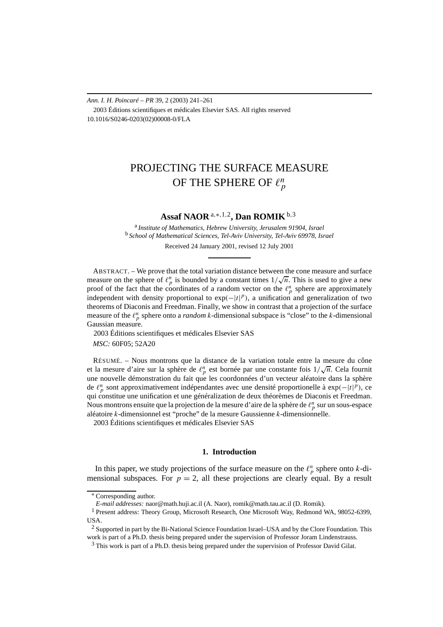*Ann. I. H. Poincaré – PR* 39, 2 (2003) 241–261 2003 Éditions scientifiques et médicales Elsevier SAS. All rights reserved 10.1016/S0246-0203(02)00008-0/FLA

# PROJECTING THE SURFACE MEASURE OF THE SPHERE OF  $\ell_p^n$

# **Assaf NAOR** <sup>a</sup>*,*∗*,*1*,*2**, Dan ROMIK**b*,*<sup>3</sup>

<sup>a</sup> *Institute of Mathematics, Hebrew University, Jerusalem 91904, Israel* <sup>b</sup> *School of Mathematical Sciences, Tel-Aviv University, Tel-Aviv 69978, Israel*

Received 24 January 2001, revised 12 July 2001

ABSTRACT. – We prove that the total variation distance between the cone measure and surface ABSTRACT. – we prove that the total variation distance between the cone measure and surface measure on the sphere of  $\ell_p^n$  is bounded by a constant times  $1/\sqrt{n}$ . This is used to give a new proof of the fact that the coordinates of a random vector on the  $\ell_p^n$  sphere are approximately independent with density proportional to  $exp(-|t|^p)$ , a unification and generalization of two theorems of Diaconis and Freedman. Finally, we show in contrast that a projection of the surface measure of the  $\ell_p^n$  sphere onto a *random k*-dimensional subspace is "close" to the *k*-dimensional Gaussian measure.

2003 Éditions scientifiques et médicales Elsevier SAS

*MSC:* 60F05; 52A20

RÉSUMÉ. – Nous montrons que la distance de la variation totale entre la mesure du cône resume. – Nous montrons que la distance de la variation totale entre la mesure du cone<br>et la mesure d'aire sur la sphère de  $\ell_p^n$  est bornée par une constante fois  $1/\sqrt{n}$ . Cela fournit une nouvelle démonstration du fait que les coordonnées d'un vecteur aléatoire dans la sphère de  $\ell_p^n$  sont approximativement indépendantes avec une densité proportionelle à exp(−|*t*|<sup>*p*</sup>), ce qui constitue une unification et une généralization de deux théorèmes de Diaconis et Freedman. Nous montrons ensuite que la projection de la mesure d'aire de la sphère de  $\ell_p^n$  sur un sous-espace aléatoire *k*-dimensionnel est "proche" de la mesure Gaussienne *k*-dimensionnelle. 2003 Éditions scientifiques et médicales Elsevier SAS

### **1. Introduction**

In this paper, we study projections of the surface measure on the  $\ell_p^n$  sphere onto *k*-dimensional subspaces. For  $p = 2$ , all these projections are clearly equal. By a result

<sup>∗</sup> Corresponding author.

*E-mail addresses:* naor@math.huji.ac.il (A. Naor), romik@math.tau.ac.il (D. Romik).

<sup>&</sup>lt;sup>1</sup> Present address: Theory Group, Microsoft Research, One Microsoft Way, Redmond WA, 98052-6399, USA.

<sup>&</sup>lt;sup>2</sup> Supported in part by the Bi-National Science Foundation Israel–USA and by the Clore Foundation. This work is part of a Ph.D. thesis being prepared under the supervision of Professor Joram Lindenstrauss.

<sup>&</sup>lt;sup>3</sup> This work is part of a Ph.D. thesis being prepared under the supervision of Professor David Gilat.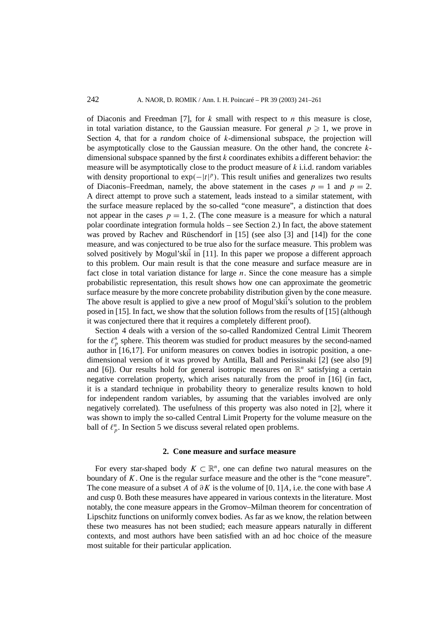of Diaconis and Freedman [7], for *k* small with respect to *n* this measure is close, in total variation distance, to the Gaussian measure. For general  $p \geq 1$ , we prove in Section 4, that for a *random* choice of *k*-dimensional subspace, the projection will be asymptotically close to the Gaussian measure. On the other hand, the concrete *k*dimensional subspace spanned by the first *k* coordinates exhibits a different behavior: the measure will be asymptotically close to the product measure of *k* i.i.d. random variables with density proportional to exp(-|t|<sup>p</sup>). This result unifies and generalizes two results of Diaconis–Freedman, namely, the above statement in the cases  $p = 1$  and  $p = 2$ . A direct attempt to prove such a statement, leads instead to a similar statement, with the surface measure replaced by the so-called "cone measure", a distinction that does not appear in the cases  $p = 1, 2$ . (The cone measure is a measure for which a natural polar coordinate integration formula holds – see Section 2.) In fact, the above statement was proved by Rachev and Rüschendorf in [15] (see also [3] and [14]) for the cone measure, and was conjectured to be true also for the surface measure. This problem was solved positively by Mogul'skii in [11]. In this paper we propose a different approach to this problem. Our main result is that the cone measure and surface measure are in fact close in total variation distance for large *n*. Since the cone measure has a simple probabilistic representation, this result shows how one can approximate the geometric surface measure by the more concrete probability distribution given by the cone measure. The above result is applied to give a new proof of Mogul'skii's solution to the problem posed in [15]. In fact, we show that the solution follows from the results of [15] (although it was conjectured there that it requires a completely different proof).

Section 4 deals with a version of the so-called Randomized Central Limit Theorem for the  $\ell_p^n$  sphere. This theorem was studied for product measures by the second-named author in [16,17]. For uniform measures on convex bodies in isotropic position, a onedimensional version of it was proved by Antilla, Ball and Perissinaki [2] (see also [9] and [6]). Our results hold for general isotropic measures on  $\mathbb{R}^n$  satisfying a certain negative correlation property, which arises naturally from the proof in [16] (in fact, it is a standard technique in probability theory to generalize results known to hold for independent random variables, by assuming that the variables involved are only negatively correlated). The usefulness of this property was also noted in [2], where it was shown to imply the so-called Central Limit Property for the volume measure on the ball of  $\ell_p^n$ . In Section 5 we discuss several related open problems.

## **2. Cone measure and surface measure**

For every star-shaped body  $K \subset \mathbb{R}^n$ , one can define two natural measures on the boundary of *K*. One is the regular surface measure and the other is the "cone measure". The cone measure of a subset *A* of *∂K* is the volume of [0*,* 1]*A*, i.e. the cone with base *A* and cusp 0. Both these measures have appeared in various contexts in the literature. Most notably, the cone measure appears in the Gromov–Milman theorem for concentration of Lipschitz functions on uniformly convex bodies. As far as we know, the relation between these two measures has not been studied; each measure appears naturally in different contexts, and most authors have been satisfied with an ad hoc choice of the measure most suitable for their particular application.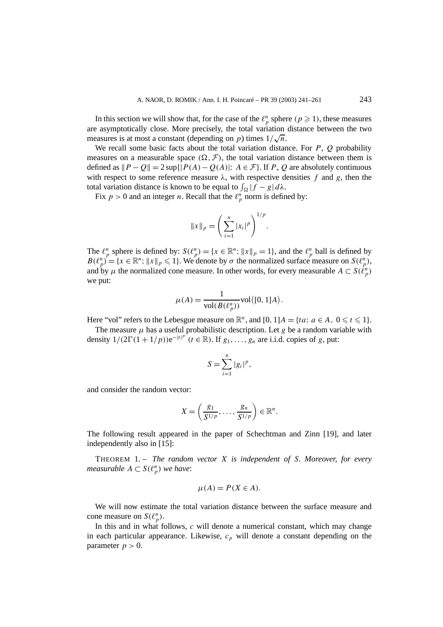In this section we will show that, for the case of the  $\ell_p^n$  sphere  $(p \ge 1)$ , these measures are asymptotically close. More precisely, the total variation distance between the two are asymptotically close. More precisely, the total variation measures is at most a constant (depending on *p*) times  $1/\sqrt{n}$ .

We recall some basic facts about the total variation distance. For *P*, *Q* probability measures on a measurable space  $(\Omega, \mathcal{F})$ , the total variation distance between them is defined as  $||P - Q|| = 2 \sup{ |P(A) - Q(A)| : A \in \mathcal{F} }$ . If *P*, *Q* are absolutely continuous with respect to some reference measure  $\lambda$ , with respective densities f and g, then the total variation distance is known to be equal to  $\int_{\Omega} |f - g| d\lambda$ .

Fix  $p > 0$  and an integer *n*. Recall that the  $\ell_p^n$  norm is defined by:

$$
||x||_p = \left(\sum_{i=1}^n |x_i|^p\right)^{1/p}.
$$

The  $\ell_p^n$  sphere is defined by:  $S(\ell_p^n) = \{x \in \mathbb{R}^n; ||x||_p = 1\}$ , and the  $\ell_p^n$  ball is defined by  $B(\ell_p^n) = \{x \in \mathbb{R}^n; ||x||_p \leq 1\}$ . We denote by  $\sigma$  the normalized surface measure on  $S(\ell_p^n)$ , and by  $\mu$  the normalized cone measure. In other words, for every measurable  $A \subset S(\ell_p^n)$ we put:

$$
\mu(A) = \frac{1}{\text{vol}(B(\ell_p^n))} \text{vol}([0, 1]A).
$$

Here "vol" refers to the Lebesgue measure on  $\mathbb{R}^n$ , and  $[0, 1]A = \{ta: a \in A, 0 \leq t \leq 1\}.$ 

The measure  $\mu$  has a useful probabilistic description. Let  $g$  be a random variable with density  $1/(2\Gamma(1+1/p))e^{-|t|^p}(t \in \mathbb{R})$ . If  $g_1, \ldots, g_n$  are i.i.d. copies of *g*, put:

$$
S=\sum_{i=1}^n|g_i|^p,
$$

and consider the random vector:

$$
X=\left(\frac{g_1}{S^{1/p}},\ldots,\frac{g_n}{S^{1/p}}\right)\in\mathbb{R}^n.
$$

The following result appeared in the paper of Schechtman and Zinn [19], and later independently also in [15]:

THEOREM 1. – *The random vector X is independent of S. Moreover, for every measurable*  $A \subset S(\ell_p^n)$  *we have*:

$$
\mu(A) = P(X \in A).
$$

We will now estimate the total variation distance between the surface measure and cone measure on  $S(\ell_p^n)$ .

In this and in what follows, *c* will denote a numerical constant, which may change in each particular appearance. Likewise,  $c_p$  will denote a constant depending on the parameter  $p > 0$ .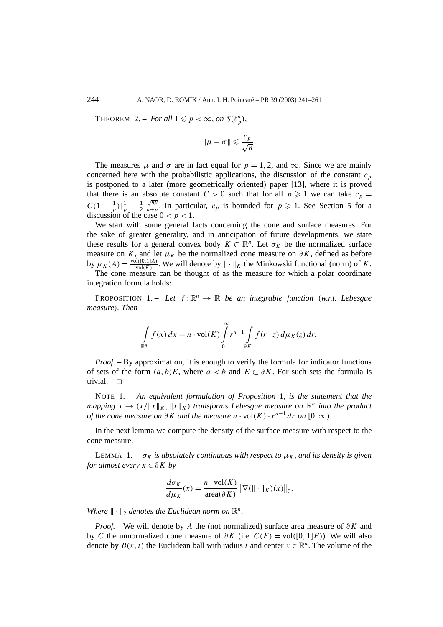THEOREM 2. – *For all*  $1 \leq p < \infty$ *, on*  $S(\ell_p^n)$ *,* 

$$
\|\mu-\sigma\| \leqslant \frac{c_p}{\sqrt{n}}.
$$

The measures  $\mu$  and  $\sigma$  are in fact equal for  $p = 1, 2$ , and  $\infty$ . Since we are mainly concerned here with the probabilistic applications, the discussion of the constant  $c_p$ is postponed to a later (more geometrically oriented) paper [13], where it is proved that there is an absolute constant  $C > 0$  such that for all  $p \ge 1$  we can take  $c_p =$ *C*(1 –  $\frac{1}{p}$ )| $\frac{1}{p}$  –  $\frac{1}{2}$ | $\frac{\sqrt{np}}{n+p}$  $\frac{\sqrt{np}}{n+p}$ . In particular,  $c_p$  is bounded for  $p \geq 1$ . See Section 5 for a discussion of the case  $0 < p < 1$ .

We start with some general facts concerning the cone and surface measures. For the sake of greater generality, and in anticipation of future developments, we state these results for a general convex body  $K \subset \mathbb{R}^n$ . Let  $\sigma_K$  be the normalized surface measure on *K*, and let  $\mu_K$  be the normalized cone measure on  $\partial K$ , defined as before by  $\mu_K(A) = \frac{\text{vol}([0,1]A)}{\text{vol}(K)}$ . We will denote by  $\|\cdot\|_K$  the Minkowski functional (norm) of *K*.

The cone measure can be thought of as the measure for which a polar coordinate integration formula holds:

**PROPOSITION** 1. – Let  $f: \mathbb{R}^n \to \mathbb{R}$  be an integrable function *(w.r.t. Lebesgue measure). Then*

$$
\int\limits_{\mathbb{R}^n} f(x) dx = n \cdot \text{vol}(K) \int\limits_0^\infty r^{n-1} \int\limits_{\partial K} f(r \cdot z) d\mu_K(z) dr.
$$

*Proof. –* By approximation, it is enough to verify the formula for indicator functions of sets of the form  $(a, b)E$ , where  $a < b$  and  $E \subset \partial K$ . For such sets the formula is trivial.  $\Box$ 

NOTE 1. – *An equivalent formulation of Proposition* 1*, is the statement that the mapping*  $x \to (x/\|x\|_K, \|x\|_K)$  *transforms Lebesgue measure on*  $\mathbb{R}^n$  *into the product of the cone measure on*  $\partial K$  *and the measure*  $n \cdot \text{vol}(K) \cdot r^{n-1} dr$  *on* [0*,*  $\infty$ *)*.

In the next lemma we compute the density of the surface measure with respect to the cone measure.

LEMMA 1. –  $\sigma_K$  *is absolutely continuous with respect to*  $\mu_K$ *, and its density is given for almost every x* ∈ *∂K by*

$$
\frac{d\sigma_K}{d\mu_K}(x) = \frac{n \cdot \text{vol}(K)}{\text{area}(\partial K)} ||\nabla(|| \cdot ||_K)(x)||_2.
$$

*Where*  $\|\cdot\|_2$  *denotes the Euclidean norm on*  $\mathbb{R}^n$ *.* 

*Proof. –* We will denote by *A* the (not normalized) surface area measure of *∂K* and by *C* the unnormalized cone measure of  $\partial K$  (i.e.  $C(F) = \text{vol}([0, 1]F)$ ). We will also denote by  $B(x, t)$  the Euclidean ball with radius *t* and center  $x \in \mathbb{R}^n$ . The volume of the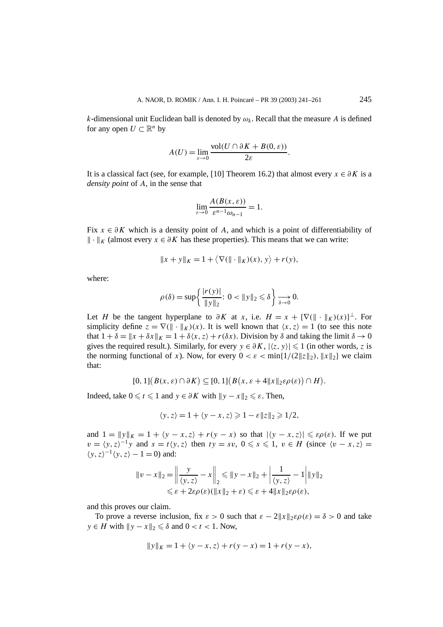*k*-dimensional unit Euclidean ball is denoted by  $\omega_k$ . Recall that the measure *A* is defined for any open  $U \subset \mathbb{R}^n$  by

$$
A(U) = \lim_{\varepsilon \to 0} \frac{\text{vol}(U \cap \partial K + B(0, \varepsilon))}{2\varepsilon}.
$$

It is a classical fact (see, for example, [10] Theorem 16.2) that almost every  $x \in \partial K$  is a *density point* of *A*, in the sense that

$$
\lim_{\varepsilon \to 0} \frac{A(B(x, \varepsilon))}{\varepsilon^{n-1} \omega_{n-1}} = 1.
$$

Fix *x* ∈ *∂K* which is a density point of *A*, and which is a point of differentiability of  $\|\cdot\|_K$  (almost every  $x \in \partial K$  has these properties). This means that we can write:

$$
||x + y||_K = 1 + \langle \nabla (|| \cdot ||_K)(x), y \rangle + r(y),
$$

where:

$$
\rho(\delta) = \sup \left\{ \frac{|r(y)|}{\|y\|_2}: \ 0 < \|y\|_2 \leq \delta \right\} \underset{\delta \to 0}{\longrightarrow} 0.
$$

Let *H* be the tangent hyperplane to  $\partial K$  at *x*, i.e.  $H = x + {\nabla (\|\cdot\|_K)(x)}^{\perp}$ . For simplicity define  $z = \nabla (\|\cdot\|_K)(x)$ . It is well known that  $\langle x, z \rangle = 1$  (to see this note that  $1 + \delta = ||x + \delta x||_K = 1 + \delta \langle x, z \rangle + r(\delta x)$ . Division by  $\delta$  and taking the limit  $\delta \to 0$ gives the required result.). Similarly, for every  $y \in \partial K$ ,  $|\langle z, y \rangle| \leq 1$  (in other words, *z* is the norming functional of *x*). Now, for every  $0 < \varepsilon < \min\{1/(2||z||_2), ||x||_2\}$  we claim that:

$$
[0,1]\big(B(x,\varepsilon)\cap\partial K\big)\subseteq [0,1]\big(B(x,\varepsilon+4\|x\|_2\varepsilon\rho(\varepsilon)\big)\cap H\big).
$$

Indeed, take  $0 \le t \le 1$  and  $y \in \partial K$  with  $\|y - x\|_2 \le \varepsilon$ . Then,

$$
\langle y, z \rangle = 1 + \langle y - x, z \rangle \geq 1 - \varepsilon ||z||_2 \geq 1/2,
$$

and  $1 = ||y||_K = 1 + \langle y - x, z \rangle + r(y - x)$  so that  $|\langle y - x, z \rangle| \leq \varepsilon \rho(\varepsilon)$ . If we put  $v = \langle y, z \rangle^{-1} y$  and  $s = t \langle y, z \rangle$  then  $ty = sv$ ,  $0 \le s \le 1$ ,  $v \in H$  (since  $\langle v - x, z \rangle =$  $\langle y, z \rangle^{-1} \langle y, z \rangle - 1 = 0$ ) and:

$$
||v - x||_2 = \left\| \frac{y}{\langle y, z \rangle} - x \right\|_2 \le ||y - x||_2 + \left| \frac{1}{\langle y, z \rangle} - 1 \right| ||y||_2
$$
  

$$
\le \varepsilon + 2\varepsilon \rho(\varepsilon)(||x||_2 + \varepsilon) \le \varepsilon + 4||x||_2 \varepsilon \rho(\varepsilon),
$$

and this proves our claim.

To prove a reverse inclusion, fix  $\varepsilon > 0$  such that  $\varepsilon - 2||x||_2 \varepsilon \rho(\varepsilon) = \delta > 0$  and take *y* ∈ *H* with  $||y - x||_2 \le \delta$  and 0 < *t* < 1. Now,

$$
||y||_K = 1 + \langle y - x, z \rangle + r(y - x) = 1 + r(y - x),
$$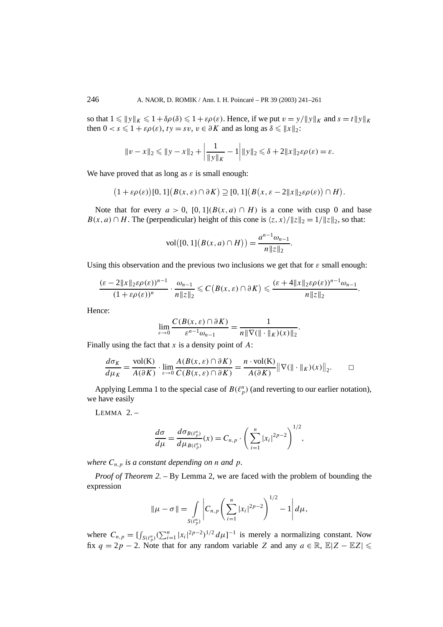so that  $1 \leq \|y\|_K \leq 1 + \delta\rho(\delta) \leq 1 + \varepsilon\rho(\varepsilon)$ . Hence, if we put  $v = y / \|y\|_K$  and  $s = t \|y\|_K$ then  $0 < s \leq 1 + \varepsilon \rho(\varepsilon)$ ,  $ty = sv$ ,  $v \in \partial K$  and as long as  $\delta \leq ||x||_2$ :

$$
\|v - x\|_2 \le \|y - x\|_2 + \left|\frac{1}{\|y\|_K} - 1\right| \|y\|_2 \le \delta + 2\|x\|_2 \varepsilon \rho(\varepsilon) = \varepsilon.
$$

We have proved that as long as  $\varepsilon$  is small enough:

$$
(1+\varepsilon\rho(\varepsilon))[0,1](B(x,\varepsilon)\cap\partial K)\supseteq[0,1](B(x,\varepsilon-2||x||_2\varepsilon\rho(\varepsilon))\cap H).
$$

Note that for every  $a > 0$ ,  $[0, 1](B(x, a) \cap H)$  is a cone with cusp 0 and base *B(x, a)* ∩ *H*. The (perpendicular) height of this cone is  $\langle z, x \rangle / \|z\|_2 = 1 / \|z\|_2$ , so that:

$$
vol([0, 1](B(x, a) \cap H)) = \frac{a^{n-1}\omega_{n-1}}{n\|z\|_2}.
$$

Using this observation and the previous two inclusions we get that for  $\varepsilon$  small enough:

$$
\frac{(\varepsilon-2\|x\|_2\varepsilon\rho(\varepsilon))^{n-1}}{(1+\varepsilon\rho(\varepsilon))^n}\cdot\frac{\omega_{n-1}}{n\|z\|_2}\leqslant C\big(B(x,\varepsilon)\cap\partial K\big)\leqslant\frac{(\varepsilon+4\|x\|_2\varepsilon\rho(\varepsilon))^{n-1}\omega_{n-1}}{n\|z\|_2}
$$

*.*

*.*

Hence:

$$
\lim_{\varepsilon \to 0} \frac{C(B(x,\varepsilon) \cap \partial K)}{\varepsilon^{n-1} \omega_{n-1}} = \frac{1}{n \| \nabla (\| \cdot \|_K)(x) \|_2}
$$

Finally using the fact that *x* is a density point of *A*:

$$
\frac{d\sigma_K}{d\mu_K} = \frac{\text{vol}(K)}{A(\partial K)} \cdot \lim_{\varepsilon \to 0} \frac{A(B(x,\varepsilon) \cap \partial K)}{C(B(x,\varepsilon) \cap \partial K)} = \frac{n \cdot \text{vol}(K)}{A(\partial K)} ||\nabla(||\cdot||_K)(x)||_2. \qquad \Box
$$

Applying Lemma 1 to the special case of  $B(\ell_p^n)$  (and reverting to our earlier notation), we have easily

 $LEMMA$  2. -

$$
\frac{d\sigma}{d\mu} = \frac{d\sigma_{B(\ell_p^n)}}{d\mu_{B(\ell_p^n)}}(x) = C_{n,p} \cdot \left(\sum_{i=1}^n |x_i|^{2p-2}\right)^{1/2},
$$

*where*  $C_{n,p}$  *is a constant depending on n and p.* 

*Proof of Theorem 2. –* By Lemma 2, we are faced with the problem of bounding the expression

$$
\|\mu - \sigma\| = \int\limits_{S(\ell_p^n)} \left| C_{n,p} \left( \sum_{i=1}^n |x_i|^{2p-2} \right)^{1/2} - 1 \right| d\mu,
$$

where  $C_{n,p} = \left[\int_{S(\ell_p^p)} (\sum_{i=1}^n |x_i|^{2p-2})^{1/2} d\mu\right]^{-1}$  is merely a normalizing constant. Now fix  $q = 2p - 2$ . Note that for any random variable *Z* and any  $a \in \mathbb{R}$ ,  $\mathbb{E}|Z - \mathbb{E}Z| \leq$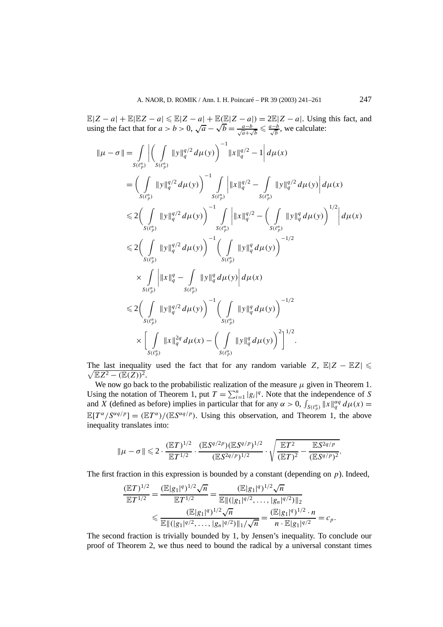$\mathbb{E}|Z - a| + \mathbb{E}|\mathbb{E}Z - a| \leq \mathbb{E}|Z - a| + \mathbb{E}(\mathbb{E}|Z - a|) = 2\mathbb{E}|Z - a|$ . Using this fact, and  $\mathbb{E}[Z - a] + \mathbb{E}[\mathbb{E}[Z - a] \le \mathbb{E}[Z - a] + \mathbb{E}(\mathbb{E}[Z - a]) = 2\mathbb{E}[Z - a]$ . Using using the fact that for  $a > b > 0$ ,  $\sqrt{a} - \sqrt{b} = \frac{a-b}{\sqrt{a} + \sqrt{b}} \le \frac{a-b}{\sqrt{b}}$ , we calculate:

$$
\|\mu - \sigma\| = \int_{S(\ell_p^p)} \left| \left( \int_{S(\ell_p^p)} \|y\|_q^{q/2} d\mu(y) \right)^{-1} \|x\|_q^{q/2} - 1 \right| d\mu(x)
$$
  
\n
$$
= \left( \int_{S(\ell_p^p)} \|y\|_q^{q/2} d\mu(y) \right)^{-1} \int_{S(\ell_p^p)} \left| \|x\|_q^{q/2} - \int_{S(\ell_p^p)} \|y\|_q^{q/2} d\mu(y) \right| d\mu(x)
$$
  
\n
$$
\leq 2 \left( \int_{S(\ell_p^p)} \|y\|_q^{q/2} d\mu(y) \right)^{-1} \int_{S(\ell_p^p)} \left| \|x\|_q^{q/2} - \left( \int_{S(\ell_p^p)} \|y\|_q^q d\mu(y) \right)^{1/2} \right| d\mu(x)
$$
  
\n
$$
\leq 2 \left( \int_{S(\ell_p^p)} \|y\|_q^{q/2} d\mu(y) \right)^{-1} \left( \int_{S(\ell_p^p)} \|y\|_q^q d\mu(y) \right)^{-1/2}
$$
  
\n
$$
\times \int_{S(\ell_p^p)} \left| \|x\|_q^q - \int_{S(\ell_p^p)} \|y\|_q^q d\mu(y) \right| d\mu(x)
$$
  
\n
$$
\leq 2 \left( \int_{S(\ell_p^p)} \|y\|_q^{q/2} d\mu(y) \right)^{-1} \left( \int_{S(\ell_p^p)} \|y\|_q^q d\mu(y) \right)^{-1/2}
$$
  
\n
$$
\times \left[ \int_{S(\ell_p^p)} \|x\|_q^{2q} d\mu(x) - \left( \int_{S(\ell_p^p)} \|y\|_q^q d\mu(y) \right)^2 \right]^{1/2}.
$$

The last inequality used the fact that for any random variable  $Z$ ,  $\mathbb{E}|Z - \mathbb{E}Z| \leq$  $\sqrt{\mathbb{E}Z^2-(\mathbb{E}(Z))^2}.$ 

We now go back to the probabilistic realization of the measure  $\mu$  given in Theorem 1. Using the notation of Theorem 1, put  $T = \sum_{i=1}^{n} |g_i|^q$ . Note that the independence of *S* and *X* (defined as before) implies in particular that for any  $\alpha > 0$ ,  $\int_{S(\ell_p^n)} ||x||_q^{\alpha q} d\mu(x) =$  $\mathbb{E}[T^{\alpha}/S^{\alpha q/p}] = (\mathbb{E}T^{\alpha})/(\mathbb{E}S^{\alpha q/p})$ . Using this observation, and Theorem 1, the above inequality translates into:

$$
\|\mu-\sigma\| \leq 2 \cdot \frac{(\mathbb{E}T)^{1/2}}{\mathbb{E}T^{1/2}} \cdot \frac{(\mathbb{E}S^{q/2p})(\mathbb{E}S^{q/p})^{1/2}}{(\mathbb{E}S^{2q/p})^{1/2}} \cdot \sqrt{\frac{\mathbb{E}T^2}{(\mathbb{E}T)^2} - \frac{\mathbb{E}S^{2q/p}}{(\mathbb{E}S^{q/p})^2}}.
$$

The first fraction in this expression is bounded by a constant (depending on *p*). Indeed,

$$
\frac{(\mathbb{E}T)^{1/2}}{\mathbb{E}T^{1/2}} = \frac{(\mathbb{E}|g_1|^q)^{1/2}\sqrt{n}}{\mathbb{E}T^{1/2}} = \frac{(\mathbb{E}|g_1|^q)^{1/2}\sqrt{n}}{\mathbb{E}||(g_1|^{q/2}, \dots, |g_n|^{q/2})||_2}
$$
  

$$
\leq \frac{(\mathbb{E}|g_1|^q)^{1/2}\sqrt{n}}{\mathbb{E}||(g_1|^{q/2}, \dots, |g_n|^{q/2})||_1/\sqrt{n}} = \frac{(\mathbb{E}|g_1|^q)^{1/2} \cdot n}{n \cdot \mathbb{E}|g_1|^{q/2}} = c_p.
$$

The second fraction is trivially bounded by 1, by Jensen's inequality. To conclude our proof of Theorem 2, we thus need to bound the radical by a universal constant times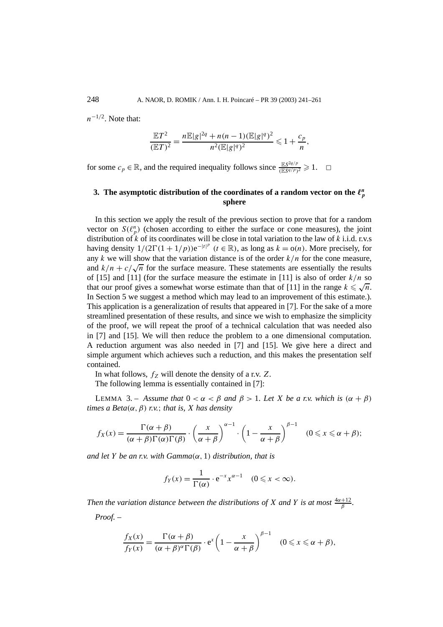*n*<sup>−</sup>1*/*2. Note that:

$$
\frac{\mathbb{E}T^2}{(\mathbb{E}T)^2} = \frac{n \mathbb{E}|g|^{2q} + n(n-1)(\mathbb{E}|g|^q)^2}{n^2(\mathbb{E}|g|^q)^2} \leq 1 + \frac{c_p}{n},
$$

for some  $c_p \in \mathbb{R}$ , and the required inequality follows since  $\frac{\mathbb{E}S^{2q/p}}{(\mathbb{E}S^{q/p})^2} \geq 1$ .  $\Box$ 

# 3. The asymptotic distribution of the coordinates of a random vector on the  $\ell_p^n$ **sphere**

In this section we apply the result of the previous section to prove that for a random vector on  $S(\ell_p^n)$  (chosen according to either the surface or cone measures), the joint distribution of *k* of its coordinates will be close in total variation to the law of *k* i.i.d. r.v.s having density  $1/(2\Gamma(1+1/p))e^{-|t|^p}$   $(t \in \mathbb{R})$ , as long as  $k = o(n)$ . More precisely, for any  $k$  we will show that the variation distance is of the order  $k/n$  for the cone measure, and  $k/n + c/\sqrt{n}$  for the surface measure. These statements are essentially the results of [15] and [11] (for the surface measure the estimate in [11] is also of order  $k/n$  so that our proof gives a somewhat worse estimate than that of [11] is also of order  $k/n$  so that our proof gives a somewhat worse estimate than that of [11] in the range  $k \le \sqrt{n}$ . In Section 5 we suggest a method which may lead to an improvement of this estimate.). This application is a generalization of results that appeared in [7]. For the sake of a more streamlined presentation of these results, and since we wish to emphasize the simplicity of the proof, we will repeat the proof of a technical calculation that was needed also in [7] and [15]. We will then reduce the problem to a one dimensional computation. A reduction argument was also needed in [7] and [15]. We give here a direct and simple argument which achieves such a reduction, and this makes the presentation self contained.

In what follows,  $f_Z$  will denote the density of a r.v.  $Z$ .

The following lemma is essentially contained in [7]:

LEMMA 3. – *Assume that*  $0 < \alpha < \beta$  *and*  $\beta > 1$ *. Let X be a r.v. which is*  $(\alpha + \beta)$ *times a Beta(α, β) r.v.*; *that is, X has density*

$$
f_X(x) = \frac{\Gamma(\alpha + \beta)}{(\alpha + \beta)\Gamma(\alpha)\Gamma(\beta)} \cdot \left(\frac{x}{\alpha + \beta}\right)^{\alpha - 1} \cdot \left(1 - \frac{x}{\alpha + \beta}\right)^{\beta - 1} \quad (0 \le x \le \alpha + \beta);
$$

*and let Y be an r.v. with Gamma(α,* 1*) distribution, that is*

$$
f_Y(x) = \frac{1}{\Gamma(\alpha)} \cdot e^{-x} x^{\alpha - 1} \quad (0 \leq x < \infty).
$$

*Then the variation distance between the distributions of X* and *Y is at most*  $\frac{4\alpha+12}{\beta}$ . *Proof. –*

$$
\frac{f_X(x)}{f_Y(x)} = \frac{\Gamma(\alpha + \beta)}{(\alpha + \beta)^{\alpha} \Gamma(\beta)} \cdot e^x \left(1 - \frac{x}{\alpha + \beta}\right)^{\beta - 1} \quad (0 \le x \le \alpha + \beta),
$$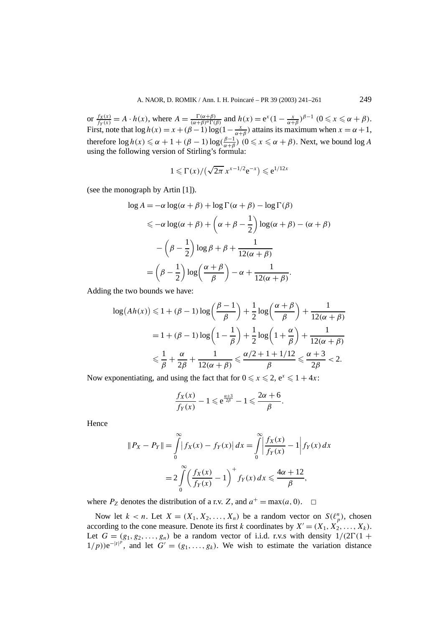or  $\frac{f_X(x)}{f_Y(x)} = A \cdot h(x)$ , where  $A = \frac{\Gamma(\alpha+\beta)}{(\alpha+\beta)^{\alpha}\Gamma(\beta)}$  and  $h(x) = e^x (1 - \frac{x}{\alpha+\beta})^{\beta-1} (0 \le x \le \alpha+\beta)$ . First, note that  $\log h(x) = x + (\beta - 1) \log(1 - \frac{x}{\alpha + \beta})$  attains its maximum when  $x = \alpha + 1$ , therefore  $\log h(x) \le \alpha + 1 + (\beta - 1) \log(\frac{\beta - 1}{\alpha + \beta})$  ( $0 \le x \le \alpha + \beta$ ). Next, we bound  $\log A$ using the following version of Stirling's formula:

$$
1 \leqslant \Gamma(x)/\left(\sqrt{2\pi} \, x^{x-1/2} e^{-x}\right) \leqslant e^{1/12x}
$$

(see the monograph by Artin [1]).

$$
\log A = -\alpha \log(\alpha + \beta) + \log \Gamma(\alpha + \beta) - \log \Gamma(\beta)
$$
  
\$\leq -\alpha \log(\alpha + \beta) + (\alpha + \beta - \frac{1}{2}) \log(\alpha + \beta) - (\alpha + \beta)\$  

$$
- (\beta - \frac{1}{2}) \log \beta + \beta + \frac{1}{12(\alpha + \beta)}
$$
  

$$
= (\beta - \frac{1}{2}) \log (\frac{\alpha + \beta}{\beta}) - \alpha + \frac{1}{12(\alpha + \beta)}.
$$

Adding the two bounds we have:

$$
\log(Ah(x)) \le 1 + (\beta - 1)\log\left(\frac{\beta - 1}{\beta}\right) + \frac{1}{2}\log\left(\frac{\alpha + \beta}{\beta}\right) + \frac{1}{12(\alpha + \beta)}
$$

$$
= 1 + (\beta - 1)\log\left(1 - \frac{1}{\beta}\right) + \frac{1}{2}\log\left(1 + \frac{\alpha}{\beta}\right) + \frac{1}{12(\alpha + \beta)}
$$

$$
\le \frac{1}{\beta} + \frac{\alpha}{2\beta} + \frac{1}{12(\alpha + \beta)} \le \frac{\alpha/2 + 1 + 1/12}{\beta} \le \frac{\alpha + 3}{2\beta} < 2.
$$

Now exponentiating, and using the fact that for  $0 \le x \le 2$ ,  $e^x \le 1 + 4x$ :

$$
\frac{f_X(x)}{f_Y(x)} - 1 \leqslant e^{\frac{\alpha+3}{2\beta}} - 1 \leqslant \frac{2\alpha + 6}{\beta}.
$$

**Hence** 

$$
||P_X - P_Y|| = \int_{0}^{\infty} |f_X(x) - f_Y(x)| dx = \int_{0}^{\infty} \left| \frac{f_X(x)}{f_Y(x)} - 1 \right| f_Y(x) dx
$$
  
= 
$$
2 \int_{0}^{\infty} \left( \frac{f_X(x)}{f_Y(x)} - 1 \right)^{+} f_Y(x) dx \le \frac{4\alpha + 12}{\beta},
$$

where  $P_Z$  denotes the distribution of a r.v. *Z*, and  $a^+ = \max(a, 0)$ .  $\Box$ 

Now let  $k < n$ . Let  $X = (X_1, X_2, ..., X_n)$  be a random vector on  $S(\ell_p^n)$ , chosen according to the cone measure. Denote its first *k* coordinates by  $X' = (X_1, X_2', \ldots, X_k)$ . Let  $G = (g_1, g_2, \ldots, g_n)$  be a random vector of i.i.d. r.v.s with density  $1/(2\Gamma(1 +$  $1/p$ )) $e^{-|t|^p}$ , and let  $G' = (g_1, \ldots, g_k)$ . We wish to estimate the variation distance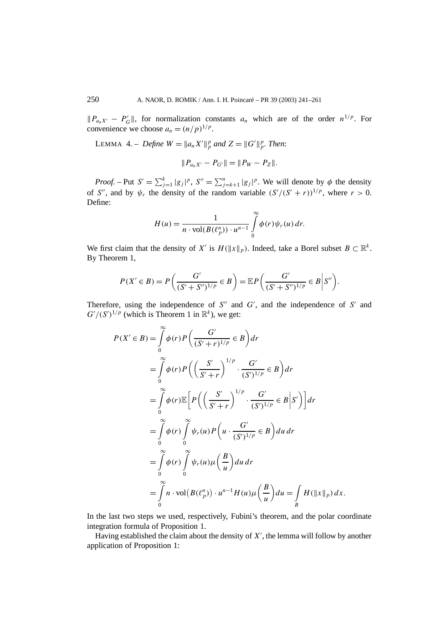$||P_{a_nX'} - P'_G||$ , for normalization constants  $a_n$  which are of the order  $n^{1/p}$ . For convenience we choose  $a_n = (n/p)^{1/p}$ .

LEMMA 4. – *Define*  $W = \|a_n X'\|_p^p$  and  $Z = \|G'\|_p^p$ . Then:

$$
||P_{a_nX'}-P_{G'}||=||P_W-P_Z||.
$$

*Proof.* – Put  $S' = \sum_{j=1}^{k} |g_j|^p$ ,  $S'' = \sum_{j=k+1}^{n} |g_j|^p$ . We will denote by  $\phi$  the density of *S''*, and by  $\psi_r$  the density of the random variable  $(S'/(S'+r))^{1/p}$ , where  $r > 0$ . Define:

$$
H(u) = \frac{1}{n \cdot \text{vol}(B(\ell_p^n)) \cdot u^{n-1}} \int_{0}^{\infty} \phi(r) \psi_r(u) dr.
$$

We first claim that the density of *X'* is  $H(\Vert x \Vert_p)$ . Indeed, take a Borel subset  $B \subset \mathbb{R}^k$ . By Theorem 1,

$$
P(X' \in B) = P\left(\frac{G'}{(S' + S'')^{1/p}} \in B\right) = \mathbb{E}P\left(\frac{G'}{(S' + S'')^{1/p}} \in B \middle| S''\right).
$$

Therefore, using the independence of  $S''$  and  $G'$ , and the independence of  $S'$  and  $G'/(S')^{1/p}$  (which is Theorem 1 in  $\mathbb{R}^k$ ), we get:

$$
P(X' \in B) = \int_{0}^{\infty} \phi(r) P\left(\frac{G'}{(S'+r)^{1/p}} \in B\right) dr
$$
  
\n
$$
= \int_{0}^{\infty} \phi(r) P\left(\left(\frac{S'}{S'+r}\right)^{1/p} \cdot \frac{G'}{(S')^{1/p}} \in B\right) dr
$$
  
\n
$$
= \int_{0}^{\infty} \phi(r) \mathbb{E}\left[P\left(\left(\frac{S'}{S'+r}\right)^{1/p} \cdot \frac{G'}{(S')^{1/p}} \in B \middle| S'\right)\right] dr
$$
  
\n
$$
= \int_{0}^{\infty} \phi(r) \int_{0}^{\infty} \psi_r(u) P\left(u \cdot \frac{G'}{(S')^{1/p}} \in B\right) du dr
$$
  
\n
$$
= \int_{0}^{\infty} \phi(r) \int_{0}^{\infty} \psi_r(u) \mu\left(\frac{B}{u}\right) du dr
$$
  
\n
$$
= \int_{0}^{\infty} n \cdot \text{vol}\left(B(\ell_p^n)\right) \cdot u^{n-1} H(u) \mu\left(\frac{B}{u}\right) du = \int_{B} H(\Vert x \Vert_p) dx.
$$

In the last two steps we used, respectively, Fubini's theorem, and the polar coordinate integration formula of Proposition 1.

Having established the claim about the density of *X* , the lemma will follow by another application of Proposition 1: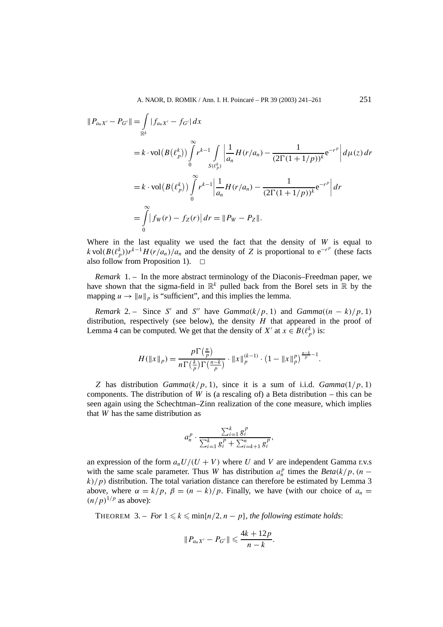$$
||P_{a_nX'} - P_{G'}|| = \int_{\mathbb{R}^k} |f_{a_nX'} - f_{G'}| dx
$$
  
=  $k \cdot \text{vol}(B(\ell_p^k)) \int_0^\infty r^{k-1} \int_{S(\ell_p^k)} \left| \frac{1}{a_n} H(r/a_n) - \frac{1}{(2\Gamma(1+1/p))^k} e^{-r^p} \right| d\mu(z) dr$   
=  $k \cdot \text{vol}(B(\ell_p^k)) \int_0^\infty r^{k-1} \left| \frac{1}{a_n} H(r/a_n) - \frac{1}{(2\Gamma(1+1/p))^k} e^{-r^p} \right| dr$   
=  $\int_0^\infty |f_W(r) - f_Z(r)| dr = ||P_W - P_Z||.$ 

Where in the last equality we used the fact that the density of *W* is equal to *k* vol $(B(\ell_p^k))r^{k-1}H(r/a_n)/a_n$  and the density of *Z* is proportional to e<sup>-*rp*</sup> (these facts also follow from Proposition 1).  $\square$ 

*Remark* 1. – In the more abstract terminology of the Diaconis–Freedman paper, we have shown that the sigma-field in  $\mathbb{R}^k$  pulled back from the Borel sets in  $\mathbb R$  by the mapping  $u \to \|u\|_p$  is "sufficient", and this implies the lemma.

*Remark* 2. – Since *S'* and *S''* have *Gamma* $(k/p, 1)$  and *Gamma* $((n - k)/p, 1)$ distribution, respectively (see below), the density *H* that appeared in the proof of Lemma 4 can be computed. We get that the density of *X'* at  $x \in B(\ell_p^k)$  is:

$$
H(\|x\|_p) = \frac{p\Gamma(\frac{n}{p})}{n\Gamma(\frac{k}{p})\Gamma(\frac{n-k}{p})} \cdot \|x\|_p^{(k-1)} \cdot (1 - \|x\|_p^p)^{\frac{n-k}{p}-1}.
$$

*Z* has distribution *Gamma* $(k/p, 1)$ , since it is a sum of i.i.d. *Gamma* $(1/p, 1)$ components. The distribution of *W* is (a rescaling of) a Beta distribution – this can be seen again using the Schechtman–Zinn realization of the cone measure, which implies that *W* has the same distribution as

$$
a_n^p \cdot \frac{\sum_{i=1}^k g_i^p}{\sum_{i=1}^k g_i^p + \sum_{i=k+1}^n g_i^p},
$$

an expression of the form  $a_nU/(U+V)$  where U and V are independent Gamma r.v.s with the same scale parameter. Thus *W* has distribution  $a_n^p$  times the *Beta*( $k/p$ , (*n* −  $k$ / $p$ ) distribution. The total variation distance can therefore be estimated by Lemma 3 above, where  $\alpha = k/p$ ,  $\beta = (n - k)/p$ . Finally, we have (with our choice of  $a_n =$  $(n/p)^{1/p}$  as above):

THEOREM  $3. - For  $1 \leq k \leq \min\{n/2, n - p\}$ , the following estimate holds:$ 

$$
||P_{a_nX'}-P_{G'}||\leqslant \frac{4k+12p}{n-k}.
$$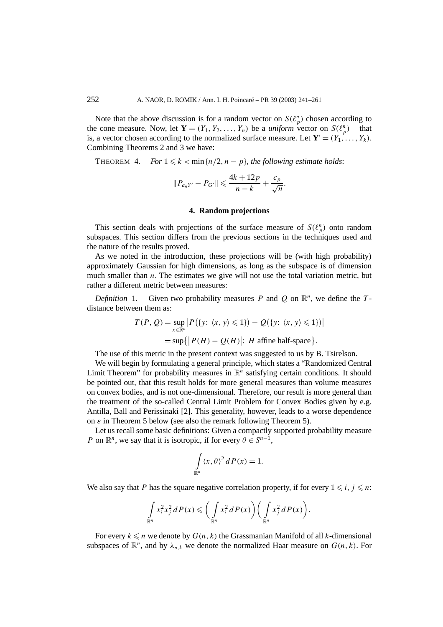Note that the above discussion is for a random vector on  $S(\ell_p^n)$  chosen according to the cone measure. Now, let  $\mathbf{Y} = (Y_1, Y_2, \dots, Y_n)$  be a *uniform* vector on  $S(\ell_p^n)$  – that is, a vector chosen according to the normalized surface measure. Let  $\mathbf{Y}' = (Y_1, \ldots, Y_k)$ . Combining Theorems 2 and 3 we have:

THEOREM  $4. - For 1 \leq k < \min\{n/2, n - p\}$ , the following estimate holds:

$$
||P_{a_nY'} - P_{G'}|| \le \frac{4k + 12p}{n - k} + \frac{c_p}{\sqrt{n}}.
$$

## **4. Random projections**

This section deals with projections of the surface measure of  $S(\ell_p^n)$  onto random subspaces. This section differs from the previous sections in the techniques used and the nature of the results proved.

As we noted in the introduction, these projections will be (with high probability) approximately Gaussian for high dimensions, as long as the subspace is of dimension much smaller than  $n$ . The estimates we give will not use the total variation metric, but rather a different metric between measures:

*Definition* 1. – Given two probability measures *P* and *Q* on  $\mathbb{R}^n$ , we define the *T*distance between them as:

$$
T(P, Q) = \sup_{x \in \mathbb{R}^n} \left| P(\{y: \langle x, y \rangle \le 1\}) - Q(\{y: \langle x, y \rangle \le 1\}) \right|
$$
  
=  $\sup \{ |P(H) - Q(H)| : H \text{ affine half-space} \}.$ 

The use of this metric in the present context was suggested to us by B. Tsirelson.

We will begin by formulating a general principle, which states a "Randomized Central Limit Theorem" for probability measures in  $\mathbb{R}^n$  satisfying certain conditions. It should be pointed out, that this result holds for more general measures than volume measures on convex bodies, and is not one-dimensional. Therefore, our result is more general than the treatment of the so-called Central Limit Problem for Convex Bodies given by e.g. Antilla, Ball and Perissinaki [2]. This generality, however, leads to a worse dependence on *ε* in Theorem 5 below (see also the remark following Theorem 5).

Let us recall some basic definitions: Given a compactly supported probability measure *P* on  $\mathbb{R}^n$ , we say that it is isotropic, if for every  $\theta \in S^{n-1}$ ,

$$
\int_{\mathbb{R}^n} \langle x, \theta \rangle^2 dP(x) = 1.
$$

We also say that *P* has the square negative correlation property, if for every  $1 \leq i, j \leq n$ :

$$
\int_{\mathbb{R}^n} x_i^2 x_j^2 dP(x) \leqslant \bigg(\int_{\mathbb{R}^n} x_i^2 dP(x)\bigg) \bigg(\int_{\mathbb{R}^n} x_j^2 dP(x)\bigg).
$$

For every  $k \leq n$  we denote by  $G(n, k)$  the Grassmanian Manifold of all *k*-dimensional subspaces of  $\mathbb{R}^n$ , and by  $\lambda_{n,k}$  we denote the normalized Haar measure on  $G(n, k)$ . For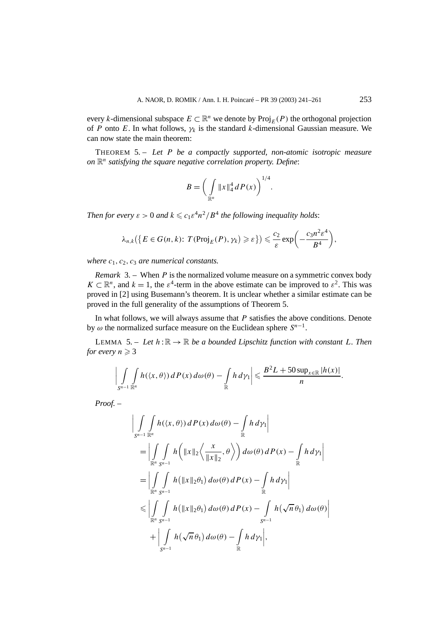every *k*-dimensional subspace  $E \subset \mathbb{R}^n$  we denote by  $\text{Proj}_E(P)$  the orthogonal projection of *P* onto *E*. In what follows,  $\gamma_k$  is the standard *k*-dimensional Gaussian measure. We can now state the main theorem:

THEOREM 5. – *Let P be a compactly supported, non-atomic isotropic measure on*  $\mathbb{R}^n$  *satisfying the square negative correlation property. Define:* 

$$
B = \bigg( \int_{\mathbb{R}^n} \|x\|_4^4 dP(x) \bigg)^{1/4}.
$$

*Then for every*  $\varepsilon > 0$  *and*  $k \leqslant c_1 \varepsilon^4 n^2 / B^4$  *the following inequality holds*:

$$
\lambda_{n,k}(\lbrace E \in G(n,k): T(\text{Proj}_E(P), \gamma_k) \geqslant \varepsilon \rbrace) \leqslant \frac{c_2}{\varepsilon} \exp\bigg(-\frac{c_3 n^2 \varepsilon^4}{B^4}\bigg),
$$

*where c*1*, c*2*, c*<sup>3</sup> *are numerical constants.*

*Remark* 3. – When *P* is the normalized volume measure on a symmetric convex body  $K \subset \mathbb{R}^n$ , and  $k = 1$ , the  $\varepsilon^4$ -term in the above estimate can be improved to  $\varepsilon^2$ . This was proved in [2] using Busemann's theorem. It is unclear whether a similar estimate can be proved in the full generality of the assumptions of Theorem 5.

In what follows, we will always assume that *P* satisfies the above conditions. Denote by  $\omega$  the normalized surface measure on the Euclidean sphere  $S^{n-1}$ .

LEMMA 5. – Let  $h : \mathbb{R} \to \mathbb{R}$  be a bounded Lipschitz function with constant L. Then *for every*  $n \geqslant 3$ 

$$
\left|\int\limits_{S^{n-1}}\int\limits_{\mathbb{R}^n}h(\langle x,\theta\rangle)\,dP(x)\,d\omega(\theta)-\int\limits_{\mathbb{R}}h\,d\gamma_1\right|\leqslant\frac{B^2L+50\sup_{x\in\mathbb{R}}|h(x)|}{n}.
$$

*Proof. –*

$$
\left| \int_{S^{n-1}} \int_{\mathbb{R}^n} h(\langle x, \theta \rangle) dP(x) d\omega(\theta) - \int_{\mathbb{R}} h d\gamma_1 \right|
$$
  
\n
$$
= \left| \int_{\mathbb{R}^n} \int_{S^{n-1}} h\left( \|x\|_2 \left\langle \frac{x}{\|x\|_2}, \theta \right\rangle \right) d\omega(\theta) dP(x) - \int_{\mathbb{R}} h d\gamma_1 \right|
$$
  
\n
$$
= \left| \int_{\mathbb{R}^n} \int_{S^{n-1}} h(\|x\|_2 \theta_1) d\omega(\theta) dP(x) - \int_{\mathbb{R}} h d\gamma_1 \right|
$$
  
\n
$$
\leq \left| \int_{\mathbb{R}^n} \int_{S^{n-1}} h(\|x\|_2 \theta_1) d\omega(\theta) dP(x) - \int_{S^{n-1}} h(\sqrt{n} \theta_1) d\omega(\theta) \right|
$$
  
\n
$$
+ \left| \int_{S^{n-1}} h(\sqrt{n} \theta_1) d\omega(\theta) - \int_{\mathbb{R}} h d\gamma_1 \right|,
$$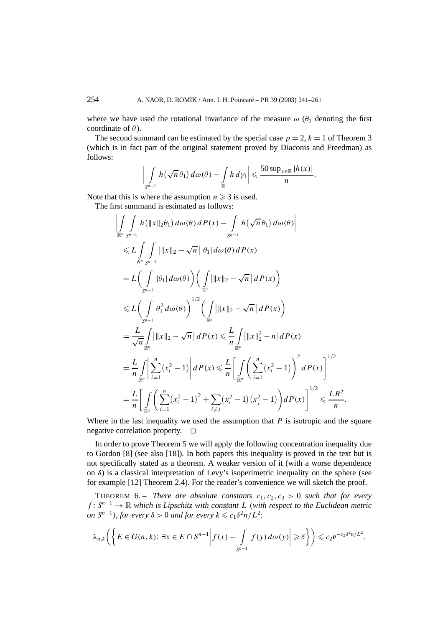where we have used the rotational invariance of the measure  $\omega$  ( $\theta_1$  denoting the first coordinate of *θ*).

The second summand can be estimated by the special case  $p = 2$ ,  $k = 1$  of Theorem 3 (which is in fact part of the original statement proved by Diaconis and Freedman) as follows:

$$
\left|\int\limits_{S^{n-1}} h(\sqrt{n}\,\theta_1)\,d\omega(\theta) - \int\limits_{\mathbb{R}} h\,d\gamma_1\right| \leqslant \frac{50\sup_{x\in\mathbb{R}}|h(x)|}{n}.
$$

Note that this is where the assumption  $n \geq 3$  is used.

The first summand is estimated as follows:

$$
\left| \int_{\mathbb{R}^n} \int_{S^{n-1}} h(\|x\|_2 \theta_1) d\omega(\theta) dP(x) - \int_{S^{n-1}} h(\sqrt{n} \theta_1) d\omega(\theta) \right|
$$
  
\n
$$
\leq L \int_{R^n} \int_{S^{n-1}} ||x||_2 - \sqrt{n} ||\theta_1| d\omega(\theta) dP(x)
$$
  
\n
$$
= L \Biggl( \int_{S^{n-1}} |\theta_1| d\omega(\theta) \Biggr) \Biggl( \int_{\mathbb{R}^n} ||x||_2 - \sqrt{n} |dP(x) \Biggr)
$$
  
\n
$$
\leq L \Biggl( \int_{S^{n-1}} \theta_1^2 d\omega(\theta) \Biggr)^{1/2} \Biggl( \int_{\mathbb{R}^n} ||x||_2 - \sqrt{n} |dP(x) \Biggr)
$$
  
\n
$$
= \frac{L}{\sqrt{n}} \int_{\mathbb{R}^n} ||x||_2 - \sqrt{n} |dP(x) \leq \frac{L}{n} \int_{\mathbb{R}^n} ||x||_2^2 - n |dP(x)
$$
  
\n
$$
= \frac{L}{n} \int_{\mathbb{R}^n} \Biggl| \sum_{i=1}^n (x_i^2 - 1) \Biggr| dP(x) \leq \frac{L}{n} \Biggl[ \int_{\mathbb{R}^n} \Biggl( \sum_{i=1}^n (x_i^2 - 1) \Biggr)^2 dP(x) \Biggr]^{1/2}
$$
  
\n
$$
= \frac{L}{n} \Biggl[ \int_{\mathbb{R}^n} \Biggl( \sum_{i=1}^n (x_i^2 - 1)^2 + \sum_{i \neq j} (x_i^2 - 1)(x_j^2 - 1) \Biggr) dP(x) \Biggr]^{1/2} \leq \frac{LB^2}{n}.
$$

Where in the last inequality we used the assumption that *P* is isotropic and the square negative correlation property.  $\Box$ 

In order to prove Theorem 5 we will apply the following concentration inequality due to Gordon [8] (see also [18]). In both papers this inequality is proved in the text but is not specifically stated as a theorem. A weaker version of it (with a worse dependence on  $\delta$ ) is a classical interpretation of Levy's isoperimetric inequality on the sphere (see for example [12] Theorem 2.4). For the reader's convenience we will sketch the proof.

**THEOREM** 6. – *There are absolute constants*  $c_1, c_2, c_3 > 0$  *such that for every f* : *S<sup>n</sup>*−<sup>1</sup> → R *which is Lipschitz with constant L (with respect to the Euclidean metric on*  $S^{n-1}$ *), for every*  $\delta > 0$  *and for every*  $k \le c_1 \delta^2 n / L^2$ :

$$
\lambda_{n,k}\bigg(\bigg\{E\in G(n,k)\colon\exists x\in E\cap S^{n-1}\bigg|f(x)-\int\limits_{S^{n-1}}f(y)\,d\omega(y)\bigg|\geqslant \delta\bigg\}\bigg)\leqslant c_2\mathrm{e}^{-c_3\delta^2n/L^2}.
$$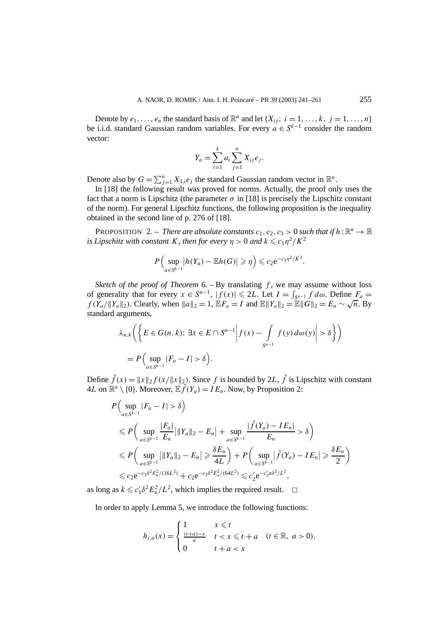Denote by  $e_1, \ldots, e_n$  the standard basis of  $\mathbb{R}^n$  and let  $\{X_{ij}; i = 1, \ldots, k, j = 1, \ldots, n\}$ be i.i.d. standard Gaussian random variables. For every  $a \in S^{k-1}$  consider the random vector:

$$
Y_a = \sum_{i=1}^k a_i \sum_{j=1}^n X_{ij} e_j.
$$

Denote also by  $G = \sum_{j=1}^{n} X_{1j} e_j$  the standard Gaussian random vector in  $\mathbb{R}^n$ .

In [18] the following result was proved for norms. Actually, the proof only uses the fact that a norm is Lipschitz (the parameter  $\sigma$  in [18] is precisely the Lipschitz constant of the norm). For general Lipschitz functions, the following proposition is the inequality obtained in the second line of p. 276 of [18].

**PROPOSITION** 2. – *There are absolute constants*  $c_1$ ,  $c_2$ ,  $c_3$  > 0 *such that if*  $h : \mathbb{R}^n \to \mathbb{R}$  $i$ *s Lipschitz with constant K, then for every*  $\eta > 0$  *and*  $k \leqslant c_1 \eta^2/K^2$ 

$$
P\Big(\sup_{a\in S^{k-1}}\big|h(Y_a)-\mathbb{E}h(G)\big|\geqslant\eta\Big)\leqslant c_2\mathrm{e}^{-c_3\eta^2/K^2}.
$$

*Sketch of the proof of Theorem 6.* – By translating  $f$ , we may assume without loss of generality that for every  $x \in S^{n-1}$ ,  $|f(x)| \le 2L$ . Let  $I = \int_{S^{n-1}} f \, d\omega$ . Define  $F_a =$ *f* (*Y<sub>a</sub>*/ $||Y_a||_2$ ). Clearly, when  $||a||_2 = 1$ ,  $E F_a = I$  and  $E ||Y_a||_2 = E ||G||_2 = E_n$  ∼  $\sqrt{n}$ . By standard arguments,

$$
\lambda_{n,k} \left( \left\{ E \in G(n,k) : \exists x \in E \cap S^{n-1} \middle| f(x) - \int_{S^{n-1}} f(y) d\omega(y) \middle| > \delta \right\} \right)
$$
  
=  $P \left( \sup_{a \in S^{k-1}} |F_a - I| > \delta \right).$ 

Define  $\tilde{f}(x) = ||x||_2 f(x/||x||_2)$ . Since f is bounded by 2*L*,  $\tilde{f}$  is Lipschitz with constant 4*L* on  $\mathbb{R}^n \setminus \{0\}$ . Moreover,  $\mathbb{E} \tilde{f}(Y_a) = I E_n$ . Now, by Proposition 2:

$$
P\left(\sup_{a\in S^{k-1}}|F_a - I| > \delta\right)
$$
  
\n
$$
\leq P\left(\sup_{a\in S^{k-1}}\frac{|F_a|}{E_n}\bigg|\|Y_a\|_2 - E_n\bigg| + \sup_{a\in S^{k-1}}\frac{|\tilde{f}(Y_a) - IE_n|}{E_n} > \delta\right)
$$
  
\n
$$
\leq P\left(\sup_{a\in S^{k-1}}\|Y_a\|_2 - E_n\right) \geq \frac{\delta E_n}{4L} + P\left(\sup_{a\in S^{k-1}}|\tilde{f}(Y_a) - IE_n| \geq \frac{\delta E_n}{2}\right)
$$
  
\n
$$
\leq c_2 e^{-c_3 \delta^2 E_n^2/(16L^2)} + c_2 e^{-c_3 \delta^2 E_n^2/(64L^2)} \leq c_2' e^{-c_3' n \delta^2 / L^2},
$$

as long as  $k \leq c'_1 \delta^2 E_n^2 / L^2$ , which implies the required result.  $\Box$ 

In order to apply Lemma 5, we introduce the following functions:

$$
h_{t,a}(x) = \begin{cases} 1 & x \leq t \\ \frac{(t+a)-x}{a} & t < x \leq t+a \\ 0 & t+a < x \end{cases} \quad (t \in \mathbb{R}, \ a > 0).
$$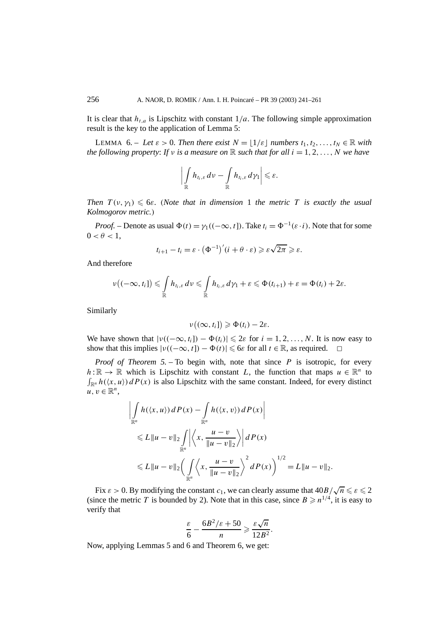It is clear that  $h_{t,a}$  is Lipschitz with constant  $1/a$ . The following simple approximation result is the key to the application of Lemma 5:

**LEMMA** 6. – Let  $\varepsilon > 0$ . Then there exist  $N = |1/\varepsilon|$  numbers  $t_1, t_2, \ldots, t_N \in \mathbb{R}$  with *the following property: If*  $\nu$  *is a measure on*  $\mathbb R$  *such that for all*  $i = 1, 2, \ldots, N$  *we have* 

$$
\left|\int_{\mathbb{R}} h_{t_i,\varepsilon} \, d\nu - \int_{\mathbb{R}} h_{t_i,\varepsilon} \, d\gamma_1\right| \leqslant \varepsilon.
$$

*Then*  $T(v, \gamma_1) \leqslant 6\varepsilon$ . (Note that in dimension 1 the metric T is exactly the usual *Kolmogorov metric.)*

*Proof.* – Denote as usual  $\Phi(t) = \gamma_1((-\infty, t])$ . Take  $t_i = \Phi^{-1}(\varepsilon \cdot i)$ . Note that for some  $0 < \theta < 1$ ,

$$
t_{i+1} - t_i = \varepsilon \cdot (\Phi^{-1})'(i + \theta \cdot \varepsilon) \geqslant \varepsilon \sqrt{2\pi} \geqslant \varepsilon.
$$

And therefore

$$
\nu\big((-\infty,t_i]\big) \leqslant \int\limits_{\mathbb{R}} h_{t_i,\varepsilon}\,d\nu \leqslant \int\limits_{\mathbb{R}} h_{t_i,\varepsilon}\,d\gamma_1+\varepsilon \leqslant \Phi(t_{i+1})+\varepsilon=\Phi(t_i)+2\varepsilon.
$$

Similarly

$$
\nu((\infty,t_i])\geqslant \Phi(t_i)-2\varepsilon.
$$

We have shown that  $|v((-\infty, t_i]) - \Phi(t_i)| \leq 2\varepsilon$  for  $i = 1, 2, ..., N$ . It is now easy to show that this implies  $|v((-\infty, t]) - \Phi(t)| \leq 6\varepsilon$  for all  $t \in \mathbb{R}$ , as required.  $\Box$ 

*Proof of Theorem 5. –* To begin with, note that since *P* is isotropic, for every  $h:\mathbb{R} \to \mathbb{R}$  which is Lipschitz with constant *L*, the function that maps  $u \in \mathbb{R}^n$  to  $\int_{\mathbb{R}^n} h(\langle x, u \rangle) dP(x)$  is also Lipschitz with the same constant. Indeed, for every distinct  $u, v \in \mathbb{R}^n$ ,

$$
\left| \int_{\mathbb{R}^n} h(\langle x, u \rangle) dP(x) - \int_{\mathbb{R}^n} h(\langle x, v \rangle) dP(x) \right|
$$
  
\n
$$
\leq L \|u - v\|_2 \int_{\mathbb{R}^n} \left| \left\langle x, \frac{u - v}{\|u - v\|_2} \right\rangle \right| dP(x)
$$
  
\n
$$
\leq L \|u - v\|_2 \left( \int_{\mathbb{R}^n} \left\langle x, \frac{u - v}{\|u - v\|_2} \right\rangle^2 dP(x) \right)^{1/2} = L \|u - v\|_2.
$$

Fix  $\varepsilon > 0$ . By modifying the constant  $c_1$ , we can clearly assume that  $40B/\sqrt{n} \leq \varepsilon \leq 2$ (since the metric *T* is bounded by 2). Note that in this case, since  $B \ge n^{1/4}$ , it is easy to verify that

$$
\frac{\varepsilon}{6} - \frac{6B^2/\varepsilon + 50}{n} \geqslant \frac{\varepsilon\sqrt{n}}{12B^2}.
$$

Now, applying Lemmas 5 and 6 and Theorem 6, we get: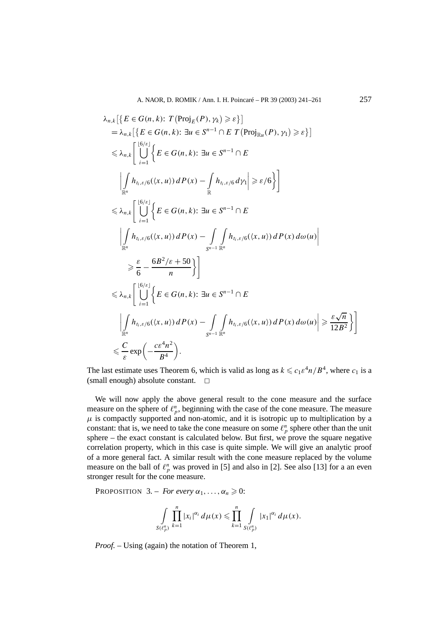$$
\lambda_{n,k}[\{E \in G(n,k): T(Proj_{E}(P), \gamma_{k}) \geq \varepsilon\}]
$$
\n
$$
= \lambda_{n,k}[\{E \in G(n,k): \exists u \in S^{n-1} \cap E T(Proj_{\mathbb{R}u}(P), \gamma_{1}) \geq \varepsilon\}]
$$
\n
$$
\leq \lambda_{n,k} \Bigg[ \bigcup_{i=1}^{\lfloor 6/\varepsilon \rfloor} \Bigg\{E \in G(n,k): \exists u \in S^{n-1} \cap E
$$
\n
$$
\Bigg| \int_{\mathbb{R}^{n}} h_{i_{i},\varepsilon/6}(\langle x, u \rangle) dP(x) - \int_{\mathbb{R}} h_{i_{i},\varepsilon/6} d\gamma_{1} \Bigg| \geq \varepsilon/6 \Bigg\} \Bigg]
$$
\n
$$
\leq \lambda_{n,k} \Bigg[ \bigcup_{i=1}^{\lfloor 6/\varepsilon \rfloor} \Bigg\{E \in G(n,k): \exists u \in S^{n-1} \cap E
$$
\n
$$
\Bigg| \int_{\mathbb{R}^{n}} h_{i_{i},\varepsilon/6}(\langle x, u \rangle) dP(x) - \int_{S^{n-1}} \int_{\mathbb{R}^{n}} h_{i_{i},\varepsilon/6}(\langle x, u \rangle) dP(x) d\omega(u) \Bigg|
$$
\n
$$
\geq \frac{\varepsilon}{6} - \frac{6B^{2}/\varepsilon + 50}{n} \Bigg\} \Bigg]
$$
\n
$$
\leq \lambda_{n,k} \Bigg[ \bigcup_{i=1}^{\lfloor 6/\varepsilon \rfloor} \Bigg\{E \in G(n,k): \exists u \in S^{n-1} \cap E
$$
\n
$$
\Bigg| \int_{\mathbb{R}^{n}} h_{i_{i},\varepsilon/6}(\langle x, u \rangle) dP(x) - \int_{S^{n-1}} \int_{\mathbb{R}^{n}} h_{i_{i},\varepsilon/6}(\langle x, u \rangle) dP(x) d\omega(u) \Bigg| \geq \frac{\varepsilon \sqrt{n}}{12B^{2}} \Bigg\} \Bigg]
$$
\n
$$
\leq \frac{C}{\varepsilon} \exp\Big(-\frac{c\varepsilon^{4}n^{2}}{B^{4}}\Big).
$$

The last estimate uses Theorem 6, which is valid as long as  $k \leq c_1 \epsilon^4 n / B^4$ , where  $c_1$  is a (small enough) absolute constant.  $\Box$ 

We will now apply the above general result to the cone measure and the surface measure on the sphere of  $\ell_p^n$ , beginning with the case of the cone measure. The measure  $\mu$  is compactly supported and non-atomic, and it is isotropic up to multiplication by a constant: that is, we need to take the cone measure on some  $\ell_p^n$  sphere other than the unit sphere – the exact constant is calculated below. But first, we prove the square negative correlation property, which in this case is quite simple. We will give an analytic proof of a more general fact. A similar result with the cone measure replaced by the volume measure on the ball of  $\ell_p^n$  was proved in [5] and also in [2]. See also [13] for a an even stronger result for the cone measure.

**PROPOSITION** 3. – *For every*  $\alpha_1, \ldots, \alpha_n \geq 0$ :

$$
\int\limits_{S(\ell_p^n)}\prod\limits_{k=1}^n |x_i|^{\alpha_i} d\mu(x) \leqslant \prod\limits_{k=1}^n \int\limits_{S(\ell_p^n)} |x_1|^{\alpha_i} d\mu(x).
$$

*Proof.* – Using (again) the notation of Theorem 1,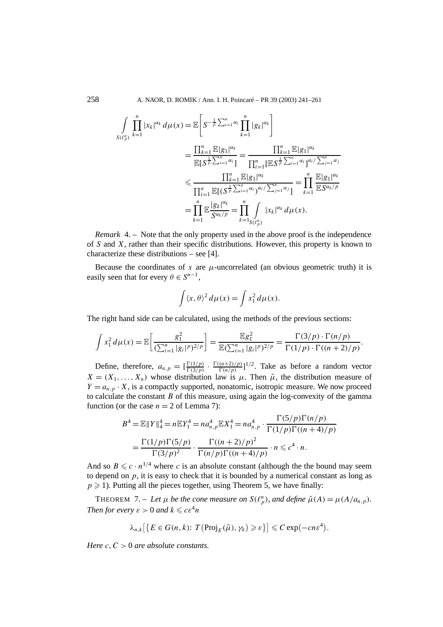258 A. NAOR, D. ROMIK / Ann. I. H. Poincaré – PR 39 (2003) 241–261

$$
\int_{S(\ell_{p}^{n})} \prod_{k=1}^{n} |x_{k}|^{\alpha_{k}} d\mu(x) = \mathbb{E}\left[S^{-\frac{1}{p}\sum_{i=1}^{n}\alpha_{i}}\prod_{k=1}^{n}|g_{k}|^{\alpha_{k}}\right]
$$
\n
$$
= \frac{\prod_{k=1}^{n} \mathbb{E}|g_{1}|^{\alpha_{k}}}{\mathbb{E}[S^{\frac{1}{p}\sum_{i=1}^{n}\alpha_{i}}]} = \frac{\prod_{k=1}^{n} \mathbb{E}|g_{1}|^{\alpha_{k}}}{\prod_{i=1}^{n} [\mathbb{E}S^{\frac{1}{p}\sum_{i=1}^{n}\alpha_{i}}]^{\alpha_{i}}/\sum_{j=1}^{n}\alpha_{j}}
$$
\n
$$
\leq \frac{\prod_{k=1}^{n} \mathbb{E}|g_{1}|^{\alpha_{k}}}{\prod_{i=1}^{n} \mathbb{E}[(S^{\frac{1}{p}\sum_{i=1}^{n}\alpha_{i}})^{\alpha_{i}}/\sum_{j=1}^{n}\alpha_{j}} = \prod_{k=1}^{n} \frac{\mathbb{E}|g_{1}|^{\alpha_{k}}}{\mathbb{E}S^{\alpha_{k}/p}}
$$
\n
$$
= \prod_{k=1}^{n} \mathbb{E}\frac{|g_{k}|^{\alpha_{k}}}{S^{\alpha_{k}/p}} = \prod_{k=1}^{n} \int_{S(\ell_{p}^{n})} |x_{k}|^{\alpha_{k}} d\mu(x).
$$

*Remark* 4. – Note that the only property used in the above proof is the independence of *S* and *X*, rather than their specific distributions. However, this property is known to characterize these distributions – see [4].

Because the coordinates of  $x$  are  $\mu$ -uncorrelated (an obvious geometric truth) it is easily seen that for every  $\theta \in S^{n-1}$ ,

$$
\int \langle x, \theta \rangle^2 d\mu(x) = \int x_1^2 d\mu(x).
$$

The right hand side can be calculated, using the methods of the previous sections:

$$
\int x_1^2 d\mu(x) = \mathbb{E}\bigg[\frac{g_1^2}{(\sum_{i=1}^n |g_i|^p)^{2/p}}\bigg] = \frac{\mathbb{E}g_1^2}{\mathbb{E}(\sum_{i=1}^n |g_i|^p)^{2/p}} = \frac{\Gamma(3/p) \cdot \Gamma(n/p)}{\Gamma(1/p) \cdot \Gamma((n+2)/p)}.
$$

Define, therefore,  $a_{n,p} = \left[\frac{\Gamma(1/p)}{\Gamma(3/p)} \cdot \frac{\Gamma((n+2)/p)}{\Gamma(n/p)}\right]^{1/2}$ . Take as before a random vector  $X = (X_1, \ldots, X_n)$  whose distribution law is  $\mu$ . Then  $\tilde{\mu}$ , the distribution measure of  $Y = a_{n,p} \cdot X$ , is a compactly supported, nonatomic, isotropic measure. We now proceed to calculate the constant *B* of this measure, using again the log-convexity of the gamma function (or the case  $n = 2$  of Lemma 7):

$$
B^4 = \mathbb{E} ||Y||_4^4 = n \mathbb{E} Y_1^4 = n a_{n,p}^4 \mathbb{E} X_1^4 = n a_{n,p}^4 \cdot \frac{\Gamma(5/p) \Gamma(n/p)}{\Gamma(1/p) \Gamma((n+4)/p)}
$$
  
= 
$$
\frac{\Gamma(1/p) \Gamma(5/p)}{\Gamma(3/p)^2} \cdot \frac{\Gamma((n+2)/p)^2}{\Gamma(n/p) \Gamma((n+4)/p)} \cdot n \leq c^4 \cdot n.
$$

And so  $B \leq c \cdot n^{1/4}$  where *c* is an absolute constant (although the the bound may seem to depend on  $p$ , it is easy to check that it is bounded by a numerical constant as long as  $p \ge 1$ ). Putting all the pieces together, using Theorem 5, we have finally:

THEOREM 7. – Let  $\mu$  be the cone measure on  $S(\ell_p^n)$ , and define  $\tilde{\mu}(A) = \mu(A/a_{n,p})$ . *Then for every*  $\varepsilon > 0$  *and*  $k \le c \varepsilon^4 n$ 

$$
\lambda_{n,k} \big[ \big\{ E \in G(n,k) \colon T\left( \text{Proj}_E(\tilde{\mu}), \gamma_k \right) \geqslant \varepsilon \big\} \big] \leqslant C \exp\left( -cn \varepsilon^4 \right).
$$

*Here c,C >* 0 *are absolute constants.*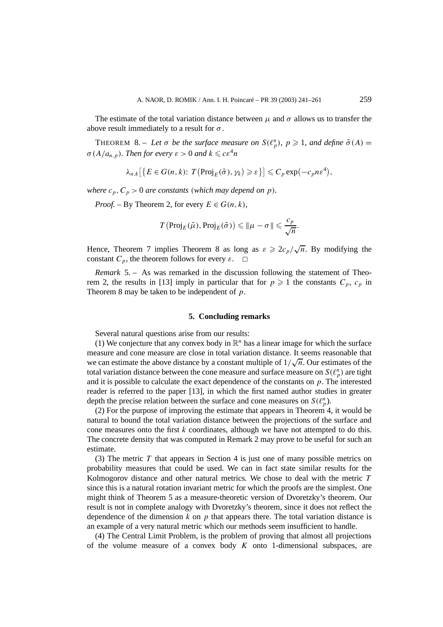The estimate of the total variation distance between  $\mu$  and  $\sigma$  allows us to transfer the above result immediately to a result for *σ* .

THEOREM 8. – Let  $\sigma$  be the surface measure on  $S(\ell_p^n)$ ,  $p \geq 1$ , and define  $\tilde{\sigma}(A)$  =  $\sigma$ ( $A/a_{n,p}$ )*. Then for every*  $\varepsilon > 0$  *and*  $k \leqslant c \varepsilon^4 n$ 

$$
\lambda_{n,k} \big[ \big\{ E \in G(n,k) \colon T\big(\text{Proj}_E(\tilde{\sigma}), \gamma_k\big) \geqslant \varepsilon \big\} \big] \leqslant C_p \exp\big(-c_p n \varepsilon^4\big),
$$

*where*  $c_p$ ,  $C_p$  > 0 *are constants* (*which may depend on p*).

*Proof.* – By Theorem 2, for every  $E \in G(n, k)$ ,

$$
T(\mathrm{Proj}_E(\tilde{\mu}), \mathrm{Proj}_E(\tilde{\sigma})) \leq \|\mu - \sigma\| \leq \frac{c_p}{\sqrt{n}}.
$$

Hence, Theorem 7 implies Theorem 8 as long as  $\varepsilon \geqslant 2c_p/\sqrt{n}$ . By modifying the constant  $C_p$ , the theorem follows for every  $\varepsilon$ .  $\Box$ 

*Remark* 5. – As was remarked in the discussion following the statement of Theorem 2, the results in [13] imply in particular that for  $p \ge 1$  the constants  $C_p$ ,  $c_p$  in Theorem 8 may be taken to be independent of *p*.

## **5. Concluding remarks**

Several natural questions arise from our results:

(1) We conjecture that any convex body in  $\mathbb{R}^n$  has a linear image for which the surface measure and cone measure are close in total variation distance. It seems reasonable that measure and cone measure are crose in total variation distance. It seems reasonable that we can estimate the above distance by a constant multiple of  $1/\sqrt{n}$ . Our estimates of the total variation distance between the cone measure and surface measure on  $S(\ell_p^n)$  are tight and it is possible to calculate the exact dependence of the constants on *p*. The interested reader is referred to the paper [13], in which the first named author studies in greater depth the precise relation between the surface and cone measures on  $S(\ell_p^n)$ .

(2) For the purpose of improving the estimate that appears in Theorem 4, it would be natural to bound the total variation distance between the projections of the surface and cone measures onto the first *k* coordinates, although we have not attempted to do this. The concrete density that was computed in Remark 2 may prove to be useful for such an estimate.

(3) The metric *T* that appears in Section 4 is just one of many possible metrics on probability measures that could be used. We can in fact state similar results for the Kolmogorov distance and other natural metrics. We chose to deal with the metric *T* since this is a natural rotation invariant metric for which the proofs are the simplest. One might think of Theorem 5 as a measure-theoretic version of Dvoretzky's theorem. Our result is not in complete analogy with Dvoretzky's theorem, since it does not reflect the dependence of the dimension  $k$  on  $p$  that appears there. The total variation distance is an example of a very natural metric which our methods seem insufficient to handle.

(4) The Central Limit Problem, is the problem of proving that almost all projections of the volume measure of a convex body *K* onto 1-dimensional subspaces, are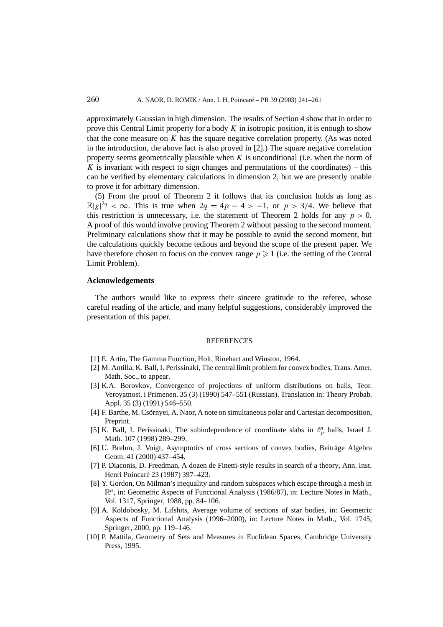approximately Gaussian in high dimension. The results of Section 4 show that in order to prove this Central Limit property for a body *K* in isotropic position, it is enough to show that the cone measure on  $\overline{K}$  has the square negative correlation property. (As was noted in the introduction, the above fact is also proved in [2].) The square negative correlation property seems geometrically plausible when *K* is unconditional (i.e. when the norm of *K* is invariant with respect to sign changes and permutations of the coordinates) – this can be verified by elementary calculations in dimension 2, but we are presently unable to prove it for arbitrary dimension.

(5) From the proof of Theorem 2 it follows that its conclusion holds as long as  $\mathbb{E}|g|^{2q} < \infty$ . This is true when  $2q = 4p - 4 > -1$ , or  $p > 3/4$ . We believe that this restriction is unnecessary, i.e. the statement of Theorem 2 holds for any  $p > 0$ . A proof of this would involve proving Theorem 2 without passing to the second moment. Preliminary calculations show that it may be possible to avoid the second moment, but the calculations quickly become tedious and beyond the scope of the present paper. We have therefore chosen to focus on the convex range  $p \ge 1$  (i.e. the setting of the Central Limit Problem).

#### **Acknowledgements**

The authors would like to express their sincere gratitude to the referee, whose careful reading of the article, and many helpful suggestions, considerably improved the presentation of this paper.

#### REFERENCES

- [1] E. Artin, The Gamma Function, Holt, Rinehart and Winston, 1964.
- [2] M. Antilla, K. Ball, I. Perissinaki, The central limit problem for convex bodies, Trans. Amer. Math. Soc., to appear.
- [3] K.A. Borovkov, Convergence of projections of uniform distributions on balls, Teor. Veroyatnost. i Primenen. 35 (3) (1990) 547–551 (Russian). Translation in: Theory Probab. Appl. 35 (3) (1991) 546–550.
- [4] F. Barthe, M. Csörnyei, A. Naor, A note on simultaneous polar and Cartesian decomposition, Preprint.
- [5] K. Ball, I. Perissinaki, The subindependence of coordinate slabs in  $\ell_p^n$  balls, Israel J. Math. 107 (1998) 289–299.
- [6] U. Brehm, J. Voigt, Asymptotics of cross sections of convex bodies, Beiträge Algebra Geom. 41 (2000) 437–454.
- [7] P. Diaconis, D. Freedman, A dozen de Finetti-style results in search of a theory, Ann. Inst. Henri Poincaré 23 (1987) 397–423.
- [8] Y. Gordon, On Milman's inequality and random subspaces which escape through a mesh in R*n*, in: Geometric Aspects of Functional Analysis (1986/87), in: Lecture Notes in Math., Vol. 1317, Springer, 1988, pp. 84–106.
- [9] A. Koldobosky, M. Lifshits, Average volume of sections of star bodies, in: Geometric Aspects of Functional Analysis (1996–2000), in: Lecture Notes in Math., Vol. 1745, Springer, 2000, pp. 119–146.
- [10] P. Mattila, Geometry of Sets and Measures in Euclidean Spaces, Cambridge University Press, 1995.